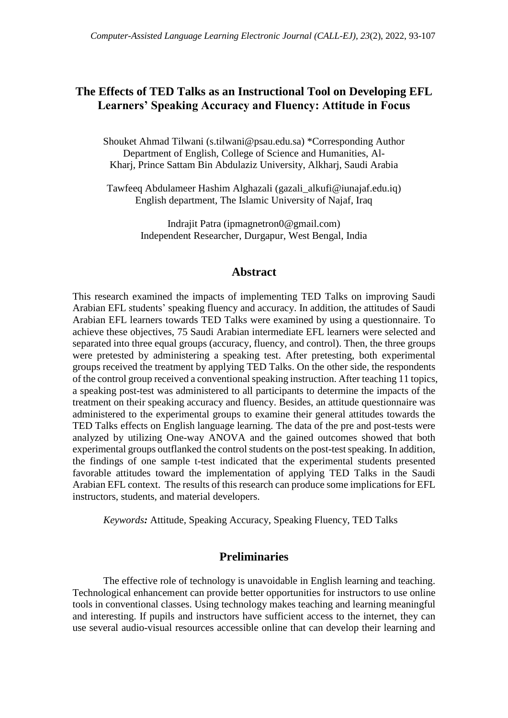# **The Effects of TED Talks as an Instructional Tool on Developing EFL Learners' Speaking Accuracy and Fluency: Attitude in Focus**

Shouket Ahmad Tilwani (s.tilwani@psau.edu.sa) \*Corresponding Author Department of English, College of Science and Humanities, Al-Kharj, Prince Sattam Bin Abdulaziz University, Alkharj, Saudi Arabia

Tawfeeq Abdulameer Hashim Alghazali (gazali\_alkufi@iunajaf.edu.iq) English department, The Islamic University of Najaf, Iraq

> Indrajit Patra (ipmagnetron0@gmail.com) Independent Researcher, Durgapur, West Bengal, India

### **Abstract**

This research examined the impacts of implementing TED Talks on improving Saudi Arabian EFL students' speaking fluency and accuracy. In addition, the attitudes of Saudi Arabian EFL learners towards TED Talks were examined by using a questionnaire. To achieve these objectives, 75 Saudi Arabian intermediate EFL learners were selected and separated into three equal groups (accuracy, fluency, and control). Then, the three groups were pretested by administering a speaking test. After pretesting, both experimental groups received the treatment by applying TED Talks. On the other side, the respondents of the control group received a conventionalspeaking instruction. After teaching 11 topics, a speaking post-test was administered to all participants to determine the impacts of the treatment on their speaking accuracy and fluency. Besides, an attitude questionnaire was administered to the experimental groups to examine their general attitudes towards the TED Talks effects on English language learning. The data of the pre and post-tests were analyzed by utilizing One-way ANOVA and the gained outcomes showed that both experimental groups outflanked the control students on the post-test speaking. In addition, the findings of one sample t-test indicated that the experimental students presented favorable attitudes toward the implementation of applying TED Talks in the Saudi Arabian EFL context. The results of this research can produce some implications for EFL instructors, students, and material developers.

*Keywords:* Attitude, Speaking Accuracy, Speaking Fluency, TED Talks

## **Preliminaries**

The effective role of technology is unavoidable in English learning and teaching. Technological enhancement can provide better opportunities for instructors to use online tools in conventional classes. Using technology makes teaching and learning meaningful and interesting. If pupils and instructors have sufficient access to the internet, they can use several audio-visual resources accessible online that can develop their learning and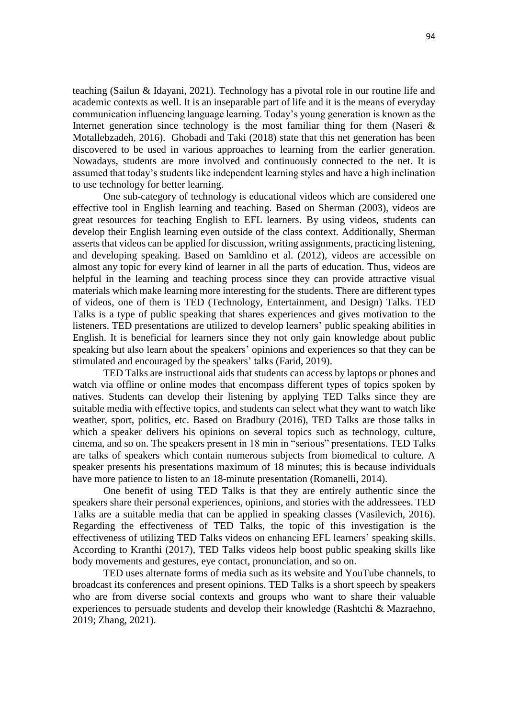teaching (Sailun & Idayani, 2021). Technology has a pivotal role in our routine life and academic contexts as well. It is an inseparable part of life and it is the means of everyday communication influencing language learning. Today's young generation is known as the Internet generation since technology is the most familiar thing for them (Naseri  $\&$ Motallebzadeh, 2016). Ghobadi and Taki (2018) state that this net generation has been discovered to be used in various approaches to learning from the earlier generation. Nowadays, students are more involved and continuously connected to the net. It is assumed that today's students like independent learning styles and have a high inclination to use technology for better learning.

One sub-category of technology is educational videos which are considered one effective tool in English learning and teaching. Based on Sherman (2003), videos are great resources for teaching English to EFL learners. By using videos, students can develop their English learning even outside of the class context. Additionally, Sherman asserts that videos can be applied for discussion, writing assignments, practicing listening, and developing speaking. Based on Samldino et al. (2012), videos are accessible on almost any topic for every kind of learner in all the parts of education. Thus, videos are helpful in the learning and teaching process since they can provide attractive visual materials which make learning more interesting for the students. There are different types of videos, one of them is TED (Technology, Entertainment, and Design) Talks. TED Talks is a type of public speaking that shares experiences and gives motivation to the listeners. TED presentations are utilized to develop learners' public speaking abilities in English. It is beneficial for learners since they not only gain knowledge about public speaking but also learn about the speakers' opinions and experiences so that they can be stimulated and encouraged by the speakers' talks (Farid, 2019).

TED Talks are instructional aids that students can access by laptops or phones and watch via offline or online modes that encompass different types of topics spoken by natives. Students can develop their listening by applying TED Talks since they are suitable media with effective topics, and students can select what they want to watch like weather, sport, politics, etc. Based on Bradbury (2016), TED Talks are those talks in which a speaker delivers his opinions on several topics such as technology, culture, cinema, and so on. The speakers present in 18 min in "serious" presentations. TED Talks are talks of speakers which contain numerous subjects from biomedical to culture. A speaker presents his presentations maximum of 18 minutes; this is because individuals have more patience to listen to an 18-minute presentation (Romanelli, 2014).

One benefit of using TED Talks is that they are entirely authentic since the speakers share their personal experiences, opinions, and stories with the addressees. TED Talks are a suitable media that can be applied in speaking classes (Vasilevich, 2016). Regarding the effectiveness of TED Talks, the topic of this investigation is the effectiveness of utilizing TED Talks videos on enhancing EFL learners' speaking skills. According to Kranthi (2017), TED Talks videos help boost public speaking skills like body movements and gestures, eye contact, pronunciation, and so on.

TED uses alternate forms of media such as its website and YouTube channels, to broadcast its conferences and present opinions. TED Talks is a short speech by speakers who are from diverse social contexts and groups who want to share their valuable experiences to persuade students and develop their knowledge (Rashtchi & Mazraehno, 2019; Zhang, 2021).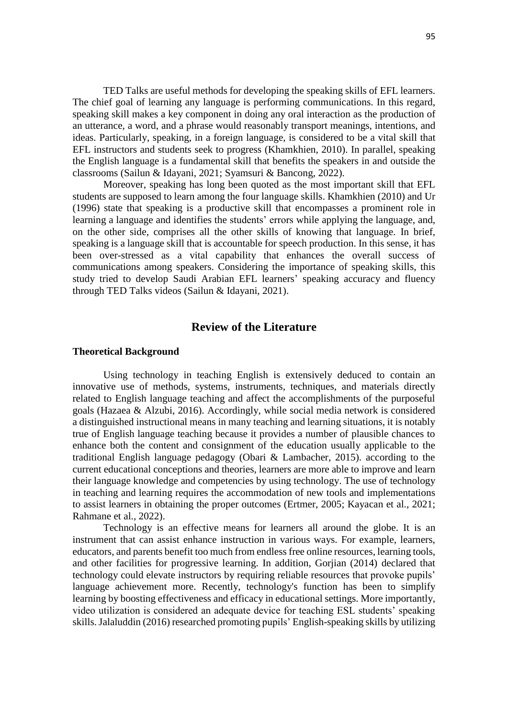TED Talks are useful methods for developing the speaking skills of EFL learners. The chief goal of learning any language is performing communications. In this regard, speaking skill makes a key component in doing any oral interaction as the production of an utterance, a word, and a phrase would reasonably transport meanings, intentions, and ideas. Particularly, speaking, in a foreign language, is considered to be a vital skill that EFL instructors and students seek to progress (Khamkhien, 2010). In parallel, speaking the English language is a fundamental skill that benefits the speakers in and outside the classrooms (Sailun & Idayani, 2021; Syamsuri & Bancong, 2022).

Moreover, speaking has long been quoted as the most important skill that EFL students are supposed to learn among the four language skills. Khamkhien (2010) and Ur (1996) state that speaking is a productive skill that encompasses a prominent role in learning a language and identifies the students' errors while applying the language, and, on the other side, comprises all the other skills of knowing that language. In brief, speaking is a language skill that is accountable for speech production. In this sense, it has been over-stressed as a vital capability that enhances the overall success of communications among speakers. Considering the importance of speaking skills, this study tried to develop Saudi Arabian EFL learners' speaking accuracy and fluency through TED Talks videos (Sailun & Idayani, 2021).

## **Review of the Literature**

#### **Theoretical Background**

Using technology in teaching English is extensively deduced to contain an innovative use of methods, systems, instruments, techniques, and materials directly related to English language teaching and affect the accomplishments of the purposeful goals (Hazaea & Alzubi, 2016). Accordingly, while social media network is considered a distinguished instructional means in many teaching and learning situations, it is notably true of English language teaching because it provides a number of plausible chances to enhance both the content and consignment of the education usually applicable to the traditional English language pedagogy (Obari & Lambacher, 2015). according to the current educational conceptions and theories, learners are more able to improve and learn their language knowledge and competencies by using technology. The use of technology in teaching and learning requires the accommodation of new tools and implementations to assist learners in obtaining the proper outcomes (Ertmer, 2005; Kayacan et al., 2021; Rahmane et al., 2022).

Technology is an effective means for learners all around the globe. It is an instrument that can assist enhance instruction in various ways. For example, learners, educators, and parents benefit too much from endless free online resources, learning tools, and other facilities for progressive learning. In addition, Gorjian (2014) declared that technology could elevate instructors by requiring reliable resources that provoke pupils' language achievement more. Recently, technology's function has been to simplify learning by boosting effectiveness and efficacy in educational settings. More importantly, video utilization is considered an adequate device for teaching ESL students' speaking skills. Jalaluddin (2016) researched promoting pupils' English-speaking skills by utilizing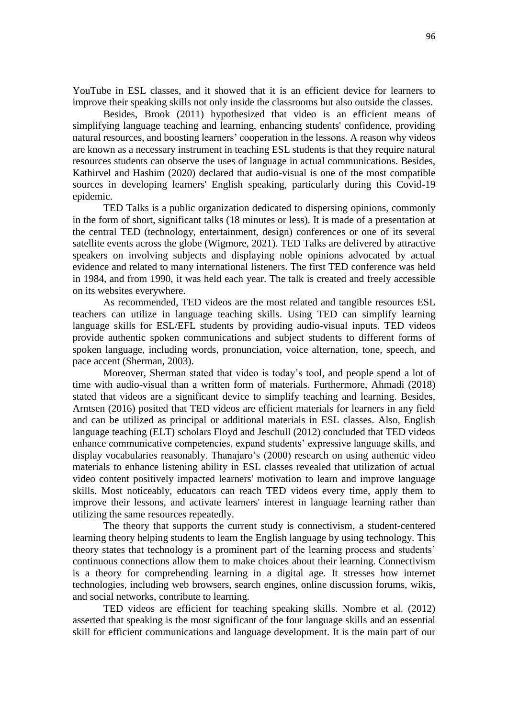YouTube in ESL classes, and it showed that it is an efficient device for learners to improve their speaking skills not only inside the classrooms but also outside the classes.

Besides, Brook (2011) hypothesized that video is an efficient means of simplifying language teaching and learning, enhancing students' confidence, providing natural resources, and boosting learners' cooperation in the lessons. A reason why videos are known as a necessary instrument in teaching ESL students is that they require natural resources students can observe the uses of language in actual communications. Besides, Kathirvel and Hashim (2020) declared that audio-visual is one of the most compatible sources in developing learners' English speaking, particularly during this Covid-19 epidemic.

TED Talks is a public organization dedicated to dispersing opinions, commonly in the form of short, significant talks (18 minutes or less). It is made of a presentation at the central TED (technology, entertainment, design) conferences or one of its several satellite events across the globe (Wigmore, 2021). TED Talks are delivered by attractive speakers on involving subjects and displaying noble opinions advocated by actual evidence and related to many international listeners. The first TED conference was held in 1984, and from 1990, it was held each year. The talk is created and freely accessible on its websites everywhere.

As recommended, TED videos are the most related and tangible resources ESL teachers can utilize in language teaching skills. Using TED can simplify learning language skills for ESL/EFL students by providing audio-visual inputs. TED videos provide authentic spoken communications and subject students to different forms of spoken language, including words, pronunciation, voice alternation, tone, speech, and pace accent (Sherman, 2003).

Moreover, Sherman stated that video is today's tool, and people spend a lot of time with audio-visual than a written form of materials. Furthermore, Ahmadi (2018) stated that videos are a significant device to simplify teaching and learning. Besides, Arntsen (2016) posited that TED videos are efficient materials for learners in any field and can be utilized as principal or additional materials in ESL classes. Also, English language teaching (ELT) scholars Floyd and Jeschull (2012) concluded that TED videos enhance communicative competencies, expand students' expressive language skills, and display vocabularies reasonably. Thanajaro's (2000) research on using authentic video materials to enhance listening ability in ESL classes revealed that utilization of actual video content positively impacted learners' motivation to learn and improve language skills. Most noticeably, educators can reach TED videos every time, apply them to improve their lessons, and activate learners' interest in language learning rather than utilizing the same resources repeatedly.

The theory that supports the current study is connectivism, a student-centered learning theory helping students to learn the English language by using technology. This theory states that technology is a prominent part of the learning process and students' continuous connections allow them to make choices about their learning. Connectivism is a theory for comprehending learning in a digital age. It stresses how internet technologies, including web browsers, search engines, online discussion forums, wikis, and social networks, contribute to learning.

TED videos are efficient for teaching speaking skills. Nombre et al. (2012) asserted that speaking is the most significant of the four language skills and an essential skill for efficient communications and language development. It is the main part of our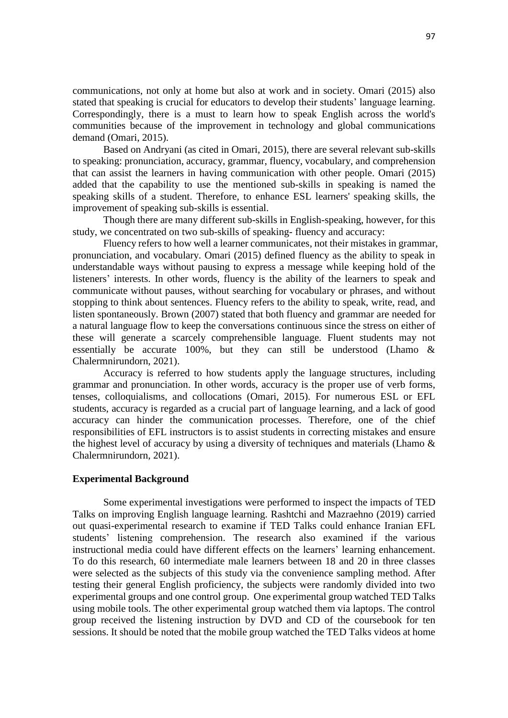communications, not only at home but also at work and in society. Omari (2015) also stated that speaking is crucial for educators to develop their students' language learning. Correspondingly, there is a must to learn how to speak English across the world's communities because of the improvement in technology and global communications demand (Omari, 2015).

Based on Andryani (as cited in Omari, 2015), there are several relevant sub-skills to speaking: pronunciation, accuracy, grammar, fluency, vocabulary, and comprehension that can assist the learners in having communication with other people. Omari (2015) added that the capability to use the mentioned sub-skills in speaking is named the speaking skills of a student. Therefore, to enhance ESL learners' speaking skills, the improvement of speaking sub-skills is essential.

Though there are many different sub-skills in English-speaking, however, for this study, we concentrated on two sub-skills of speaking- fluency and accuracy:

Fluency refers to how well a learner communicates, not their mistakes in grammar, pronunciation, and vocabulary. Omari (2015) defined fluency as the ability to speak in understandable ways without pausing to express a message while keeping hold of the listeners' interests. In other words, fluency is the ability of the learners to speak and communicate without pauses, without searching for vocabulary or phrases, and without stopping to think about sentences. Fluency refers to the ability to speak, write, read, and listen spontaneously. Brown (2007) stated that both fluency and grammar are needed for a natural language flow to keep the conversations continuous since the stress on either of these will generate a scarcely comprehensible language. Fluent students may not essentially be accurate 100%, but they can still be understood (Lhamo & Chalermnirundorn, 2021).

Accuracy is referred to how students apply the language structures, including grammar and pronunciation. In other words, accuracy is the proper use of verb forms, tenses, colloquialisms, and collocations (Omari, 2015). For numerous ESL or EFL students, accuracy is regarded as a crucial part of language learning, and a lack of good accuracy can hinder the communication processes. Therefore, one of the chief responsibilities of EFL instructors is to assist students in correcting mistakes and ensure the highest level of accuracy by using a diversity of techniques and materials (Lhamo & Chalermnirundorn, 2021).

#### **Experimental Background**

Some experimental investigations were performed to inspect the impacts of TED Talks on improving English language learning. Rashtchi and Mazraehno (2019) carried out quasi-experimental research to examine if TED Talks could enhance Iranian EFL students' listening comprehension. The research also examined if the various instructional media could have different effects on the learners' learning enhancement. To do this research, 60 intermediate male learners between 18 and 20 in three classes were selected as the subjects of this study via the convenience sampling method. After testing their general English proficiency, the subjects were randomly divided into two experimental groups and one control group. One experimental group watched TED Talks using mobile tools. The other experimental group watched them via laptops. The control group received the listening instruction by DVD and CD of the coursebook for ten sessions. It should be noted that the mobile group watched the TED Talks videos at home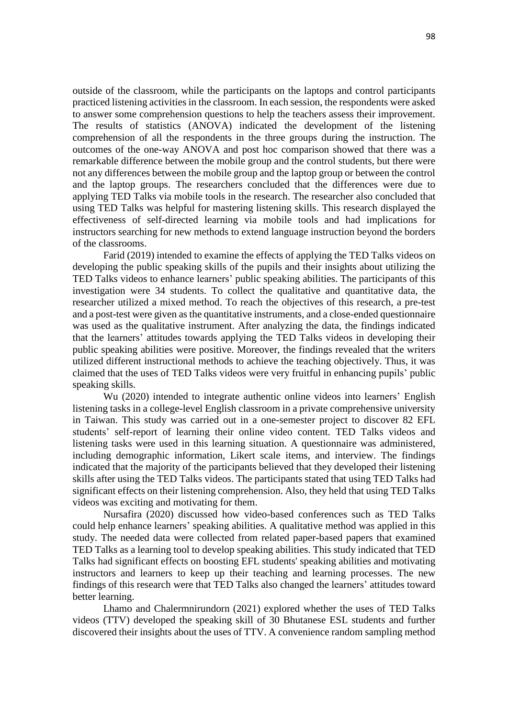outside of the classroom, while the participants on the laptops and control participants practiced listening activities in the classroom. In each session, the respondents were asked to answer some comprehension questions to help the teachers assess their improvement. The results of statistics (ANOVA) indicated the development of the listening comprehension of all the respondents in the three groups during the instruction. The outcomes of the one-way ANOVA and post hoc comparison showed that there was a remarkable difference between the mobile group and the control students, but there were not any differences between the mobile group and the laptop group or between the control and the laptop groups. The researchers concluded that the differences were due to applying TED Talks via mobile tools in the research. The researcher also concluded that using TED Talks was helpful for mastering listening skills. This research displayed the effectiveness of self-directed learning via mobile tools and had implications for instructors searching for new methods to extend language instruction beyond the borders of the classrooms.

Farid (2019) intended to examine the effects of applying the TED Talks videos on developing the public speaking skills of the pupils and their insights about utilizing the TED Talks videos to enhance learners' public speaking abilities. The participants of this investigation were 34 students. To collect the qualitative and quantitative data, the researcher utilized a mixed method. To reach the objectives of this research, a pre-test and a post-test were given as the quantitative instruments, and a close-ended questionnaire was used as the qualitative instrument. After analyzing the data, the findings indicated that the learners' attitudes towards applying the TED Talks videos in developing their public speaking abilities were positive. Moreover, the findings revealed that the writers utilized different instructional methods to achieve the teaching objectively. Thus, it was claimed that the uses of TED Talks videos were very fruitful in enhancing pupils' public speaking skills.

Wu (2020) intended to integrate authentic online videos into learners' English listening tasks in a college-level English classroom in a private comprehensive university in Taiwan. This study was carried out in a one-semester project to discover 82 EFL students' self-report of learning their online video content. TED Talks videos and listening tasks were used in this learning situation. A questionnaire was administered, including demographic information, Likert scale items, and interview. The findings indicated that the majority of the participants believed that they developed their listening skills after using the TED Talks videos. The participants stated that using TED Talks had significant effects on their listening comprehension. Also, they held that using TED Talks videos was exciting and motivating for them.

Nursafira (2020) discussed how video-based conferences such as TED Talks could help enhance learners' speaking abilities. A qualitative method was applied in this study. The needed data were collected from related paper-based papers that examined TED Talks as a learning tool to develop speaking abilities. This study indicated that TED Talks had significant effects on boosting EFL students' speaking abilities and motivating instructors and learners to keep up their teaching and learning processes. The new findings of this research were that TED Talks also changed the learners' attitudes toward better learning.

Lhamo and Chalermnirundorn (2021) explored whether the uses of TED Talks videos (TTV) developed the speaking skill of 30 Bhutanese ESL students and further discovered their insights about the uses of TTV. A convenience random sampling method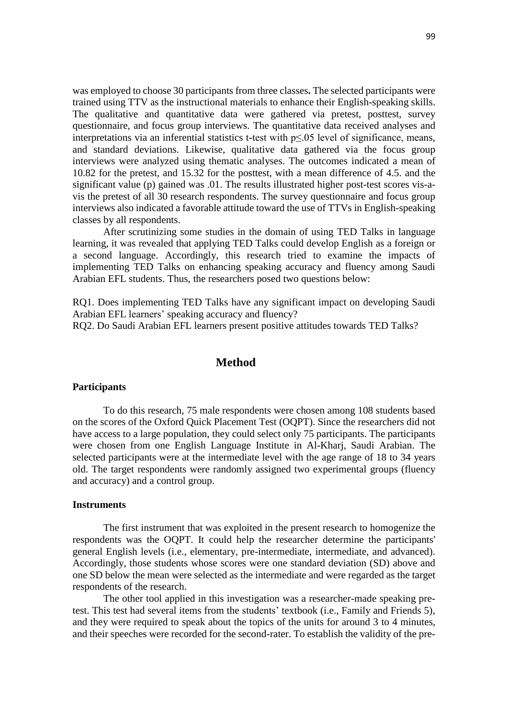was employed to choose 30 participants from three classes**.** The selected participants were trained using TTV as the instructional materials to enhance their English-speaking skills. The qualitative and quantitative data were gathered via pretest, posttest, survey questionnaire, and focus group interviews. The quantitative data received analyses and interpretations via an inferential statistics t**-**test with p≤.05 level of significance, means, and standard deviations. Likewise, qualitative data gathered via the focus group interviews were analyzed using thematic analyses. The outcomes indicated a mean of 10.82 for the pretest, and 15.32 for the posttest, with a mean difference of 4.5. and the significant value (p) gained was .01. The results illustrated higher post-test scores vis-avis the pretest of all 30 research respondents. The survey questionnaire and focus group interviews also indicated a favorable attitude toward the use of TTVs in English-speaking classes by all respondents.

After scrutinizing some studies in the domain of using TED Talks in language learning, it was revealed that applying TED Talks could develop English as a foreign or a second language. Accordingly, this research tried to examine the impacts of implementing TED Talks on enhancing speaking accuracy and fluency among Saudi Arabian EFL students. Thus, the researchers posed two questions below:

RQ1. Does implementing TED Talks have any significant impact on developing Saudi Arabian EFL learners' speaking accuracy and fluency?

RQ2. Do Saudi Arabian EFL learners present positive attitudes towards TED Talks?

## **Method**

#### **Participants**

To do this research, 75 male respondents were chosen among 108 students based on the scores of the Oxford Quick Placement Test (OQPT). Since the researchers did not have access to a large population, they could select only 75 participants. The participants were chosen from one English Language Institute in Al-Kharj, Saudi Arabian. The selected participants were at the intermediate level with the age range of 18 to 34 years old. The target respondents were randomly assigned two experimental groups (fluency and accuracy) and a control group.

#### **Instruments**

The first instrument that was exploited in the present research to homogenize the respondents was the OQPT. It could help the researcher determine the participants' general English levels (i.e., elementary, pre-intermediate, intermediate, and advanced). Accordingly, those students whose scores were one standard deviation (SD) above and one SD below the mean were selected as the intermediate and were regarded as the target respondents of the research.

The other tool applied in this investigation was a researcher-made speaking pretest. This test had several items from the students' textbook (i.e., Family and Friends 5), and they were required to speak about the topics of the units for around 3 to 4 minutes, and their speeches were recorded for the second-rater. To establish the validity of the pre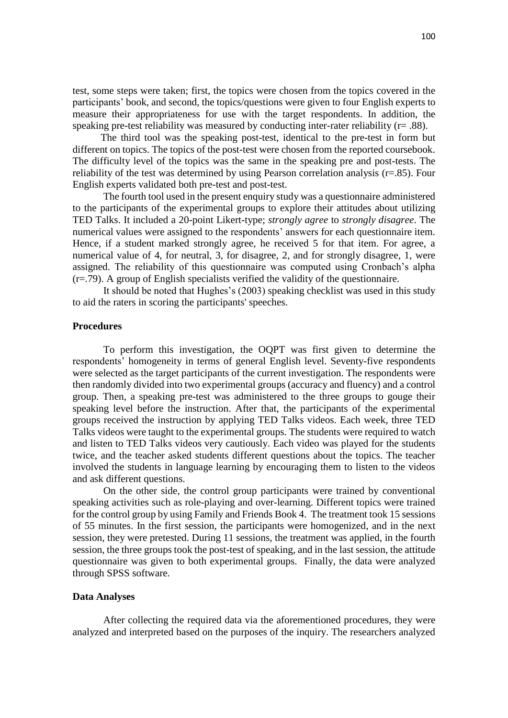test, some steps were taken; first, the topics were chosen from the topics covered in the participants' book, and second, the topics/questions were given to four English experts to measure their appropriateness for use with the target respondents. In addition, the speaking pre-test reliability was measured by conducting inter-rater reliability (r= .88).

 The third tool was the speaking post-test, identical to the pre-test in form but different on topics. The topics of the post-test were chosen from the reported coursebook. The difficulty level of the topics was the same in the speaking pre and post-tests. The reliability of the test was determined by using Pearson correlation analysis ( $r=0.85$ ). Four English experts validated both pre-test and post-test.

The fourth tool used in the present enquiry study was a questionnaire administered to the participants of the experimental groups to explore their attitudes about utilizing TED Talks. It included a 20-point Likert-type; *strongly agree* to *strongly disagree*. The numerical values were assigned to the respondents' answers for each questionnaire item. Hence, if a student marked strongly agree, he received 5 for that item. For agree, a numerical value of 4, for neutral, 3, for disagree, 2, and for strongly disagree, 1, were assigned. The reliability of this questionnaire was computed using Cronbach's alpha (r=.79). A group of English specialists verified the validity of the questionnaire.

 It should be noted that Hughes's (2003) speaking checklist was used in this study to aid the raters in scoring the participants' speeches.

#### **Procedures**

To perform this investigation, the OQPT was first given to determine the respondents' homogeneity in terms of general English level. Seventy-five respondents were selected as the target participants of the current investigation. The respondents were then randomly divided into two experimental groups (accuracy and fluency) and a control group. Then, a speaking pre-test was administered to the three groups to gouge their speaking level before the instruction. After that, the participants of the experimental groups received the instruction by applying TED Talks videos. Each week, three TED Talks videos were taught to the experimental groups. The students were required to watch and listen to TED Talks videos very cautiously. Each video was played for the students twice, and the teacher asked students different questions about the topics. The teacher involved the students in language learning by encouraging them to listen to the videos and ask different questions.

On the other side, the control group participants were trained by conventional speaking activities such as role-playing and over-learning. Different topics were trained for the control group by using Family and Friends Book 4. The treatment took 15 sessions of 55 minutes. In the first session, the participants were homogenized, and in the next session, they were pretested. During 11 sessions, the treatment was applied, in the fourth session, the three groups took the post-test of speaking, and in the last session, the attitude questionnaire was given to both experimental groups. Finally, the data were analyzed through SPSS software.

#### **Data Analyses**

After collecting the required data via the aforementioned procedures, they were analyzed and interpreted based on the purposes of the inquiry. The researchers analyzed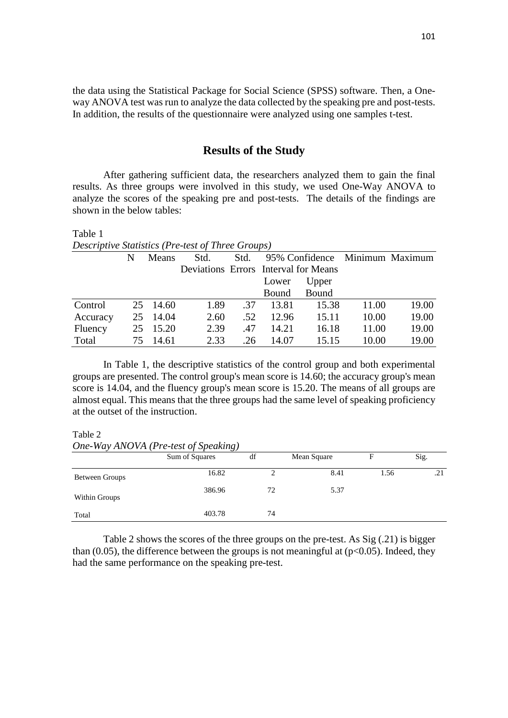the data using the Statistical Package for Social Science (SPSS) software. Then, a Oneway ANOVA test was run to analyze the data collected by the speaking pre and post-tests. In addition, the results of the questionnaire were analyzed using one samples t-test.

### **Results of the Study**

After gathering sufficient data, the researchers analyzed them to gain the final results. As three groups were involved in this study, we used One-Way ANOVA to analyze the scores of the speaking pre and post-tests. The details of the findings are shown in the below tables:

Table 1 *Descriptive Statistics (Pre-test of Three Groups)*

|          |    | <b>Means</b> | Std. | Std. | 95% Confidence Minimum Maximum       |       |       |       |
|----------|----|--------------|------|------|--------------------------------------|-------|-------|-------|
|          |    |              |      |      | Deviations Errors Interval for Means |       |       |       |
|          |    |              |      |      | Lower                                | Upper |       |       |
|          |    |              |      |      | Bound                                | Bound |       |       |
| Control  |    | 25 14.60     | 1.89 | .37  | 13.81                                | 15.38 | 11.00 | 19.00 |
| Accuracy |    | 25 14.04     | 2.60 | .52  | 12.96                                | 15.11 | 10.00 | 19.00 |
| Fluency  |    | 25 15.20     | 2.39 | .47  | 14.21                                | 16.18 | 11.00 | 19.00 |
| Total    | 75 | 14.61        | 2.33 | .26  | 14.07                                | 15.15 | 10.00 | 19.00 |

In Table 1, the descriptive statistics of the control group and both experimental groups are presented. The control group's mean score is 14.60; the accuracy group's mean score is 14.04, and the fluency group's mean score is 15.20. The means of all groups are almost equal. This means that the three groups had the same level of speaking proficiency at the outset of the instruction.

### Table 2

*One-Way ANOVA (Pre-test of Speaking)* Sum of Squares df Mean Square F Sig. Between Groups 16.82 2 8.41 1.56 21 Within Groups 386.96 72 5.37 Total 403.78 74

Table 2 shows the scores of the three groups on the pre-test. As Sig (.21) is bigger than (0.05), the difference between the groups is not meaningful at  $(p<0.05)$ . Indeed, they had the same performance on the speaking pre-test.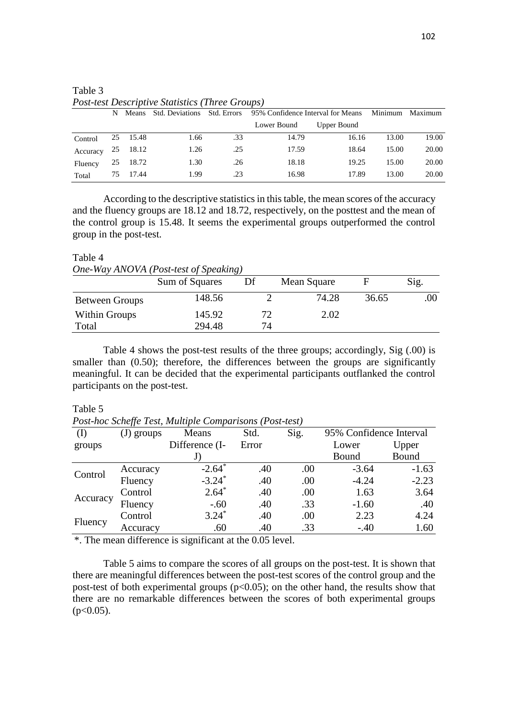|                     | N   |          |      |     | Means Std. Deviations Std. Errors 95% Confidence Interval for Means |             | Minimum Maximum |       |
|---------------------|-----|----------|------|-----|---------------------------------------------------------------------|-------------|-----------------|-------|
|                     |     |          |      |     | Lower Bound                                                         | Upper Bound |                 |       |
| Control             |     | 25 15.48 | 1.66 | .33 | 14.79                                                               | 16.16       | 13.00           | 19.00 |
| Accuracy $25$ 18.12 |     |          | 1.26 | .25 | 17.59                                                               | 18.64       | 15.00           | 20.00 |
| Fluency             |     | 25 18.72 | 1.30 | .26 | 18.18                                                               | 19.25       | 15.00           | 20.00 |
| Total               | 75. | 17.44    | 1.99 | .23 | 16.98                                                               | 17.89       | 13.00           | 20.00 |

Table 3 *Post-test Descriptive Statistics (Three Groups)*

According to the descriptive statistics in this table, the mean scores of the accuracy and the fluency groups are 18.12 and 18.72, respectively, on the posttest and the mean of the control group is 15.48. It seems the experimental groups outperformed the control group in the post-test.

### Table 4

*One-Way ANOVA (Post-test of Speaking)*

|                | Sum of Squares | Df | Mean Square |       | Sig. |
|----------------|----------------|----|-------------|-------|------|
| Between Groups | 148.56         |    | 74.28       | 36.65 | .00  |
| Within Groups  | 145.92         |    | 2.02        |       |      |
| Total          | 294.48         | 74 |             |       |      |

Table 4 shows the post-test results of the three groups; accordingly, Sig (.00) is smaller than (0.50); therefore, the differences between the groups are significantly meaningful. It can be decided that the experimental participants outflanked the control participants on the post-test.

#### Table 5

*Post-hoc Scheffe Test, Multiple Comparisons (Post-test)*

|          | $\cdot$<br>$(J)$ groups | Means                | Std.  | Sig. | 95% Confidence Interval |         |
|----------|-------------------------|----------------------|-------|------|-------------------------|---------|
| groups   |                         | Difference (I-       | Error |      | Lower                   | Upper   |
|          |                         | J.                   |       |      | Bound                   | Bound   |
| Control  | Accuracy                | $-2.64$ <sup>*</sup> | .40   | .00  | $-3.64$                 | $-1.63$ |
|          | Fluency                 | $-3.24$ <sup>*</sup> | .40   | .00  | $-4.24$                 | $-2.23$ |
| Accuracy | Control                 | $2.64*$              | .40   | .00  | 1.63                    | 3.64    |
|          | Fluency                 | $-.60$               | .40   | .33  | $-1.60$                 | .40     |
| Fluency  | Control                 | $3.24*$              | .40   | .00  | 2.23                    | 4.24    |
|          | Accuracy                | .60                  | .40   | .33  | $-.40$                  | 1.60    |

\*. The mean difference is significant at the 0.05 level.

Table 5 aims to compare the scores of all groups on the post-test. It is shown that there are meaningful differences between the post-test scores of the control group and the post-test of both experimental groups ( $p<0.05$ ); on the other hand, the results show that there are no remarkable differences between the scores of both experimental groups  $(p<0.05)$ .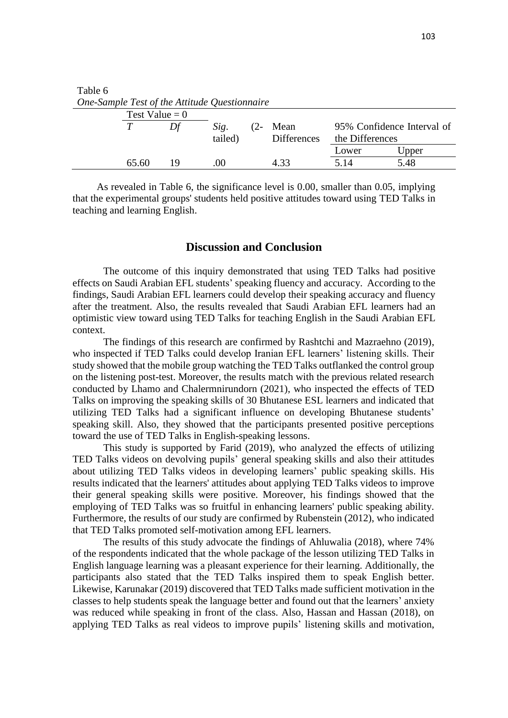| Table 6<br>One-Sample Test of the Attitude Questionnaire |                  |    |         |        |                    |                            |       |  |  |
|----------------------------------------------------------|------------------|----|---------|--------|--------------------|----------------------------|-------|--|--|
|                                                          | Test Value = $0$ |    |         |        |                    |                            |       |  |  |
|                                                          |                  |    | Sig.    | $(2 -$ | Mean               | 95% Confidence Interval of |       |  |  |
|                                                          |                  |    | tailed) |        | <b>Differences</b> | the Differences            |       |  |  |
|                                                          |                  |    |         |        |                    | Lower                      | Upper |  |  |
|                                                          | 65.60            | 19 | .00     |        | 4.33               | 5.14                       | 5.48  |  |  |

As revealed in Table 6, the significance level is 0.00, smaller than 0.05, implying that the experimental groups' students held positive attitudes toward using TED Talks in teaching and learning English.

### **Discussion and Conclusion**

The outcome of this inquiry demonstrated that using TED Talks had positive effects on Saudi Arabian EFL students' speaking fluency and accuracy. According to the findings, Saudi Arabian EFL learners could develop their speaking accuracy and fluency after the treatment. Also, the results revealed that Saudi Arabian EFL learners had an optimistic view toward using TED Talks for teaching English in the Saudi Arabian EFL context.

The findings of this research are confirmed by Rashtchi and Mazraehno (2019), who inspected if TED Talks could develop Iranian EFL learners' listening skills. Their study showed that the mobile group watching the TED Talks outflanked the control group on the listening post-test. Moreover, the results match with the previous related research conducted by Lhamo and Chalermnirundorn (2021), who inspected the effects of TED Talks on improving the speaking skills of 30 Bhutanese ESL learners and indicated that utilizing TED Talks had a significant influence on developing Bhutanese students' speaking skill. Also, they showed that the participants presented positive perceptions toward the use of TED Talks in English-speaking lessons.

This study is supported by Farid (2019), who analyzed the effects of utilizing TED Talks videos on devolving pupils' general speaking skills and also their attitudes about utilizing TED Talks videos in developing learners' public speaking skills. His results indicated that the learners' attitudes about applying TED Talks videos to improve their general speaking skills were positive. Moreover, his findings showed that the employing of TED Talks was so fruitful in enhancing learners' public speaking ability. Furthermore, the results of our study are confirmed by Rubenstein (2012), who indicated that TED Talks promoted self-motivation among EFL learners.

The results of this study advocate the findings of Ahluwalia (2018), where 74% of the respondents indicated that the whole package of the lesson utilizing TED Talks in English language learning was a pleasant experience for their learning. Additionally, the participants also stated that the TED Talks inspired them to speak English better. Likewise, Karunakar (2019) discovered that TED Talks made sufficient motivation in the classes to help students speak the language better and found out that the learners' anxiety was reduced while speaking in front of the class. Also, Hassan and Hassan (2018), on applying TED Talks as real videos to improve pupils' listening skills and motivation,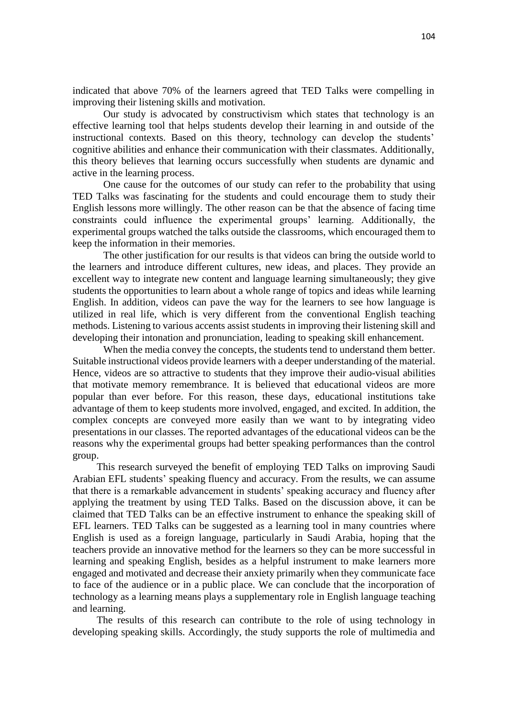indicated that above 70% of the learners agreed that TED Talks were compelling in improving their listening skills and motivation.

Our study is advocated by constructivism which states that technology is an effective learning tool that helps students develop their learning in and outside of the instructional contexts. Based on this theory, technology can develop the students' cognitive abilities and enhance their communication with their classmates. Additionally, this theory believes that learning occurs successfully when students are dynamic and active in the learning process.

One cause for the outcomes of our study can refer to the probability that using TED Talks was fascinating for the students and could encourage them to study their English lessons more willingly. The other reason can be that the absence of facing time constraints could influence the experimental groups' learning. Additionally, the experimental groups watched the talks outside the classrooms, which encouraged them to keep the information in their memories.

The other justification for our results is that videos can bring the outside world to the learners and introduce different cultures, new ideas, and places. They provide an excellent way to integrate new content and language learning simultaneously; they give students the opportunities to learn about a whole range of topics and ideas while learning English. In addition, videos can pave the way for the learners to see how language is utilized in real life, which is very different from the conventional English teaching methods. Listening to various accents assist students in improving their listening skill and developing their intonation and pronunciation, leading to speaking skill enhancement.

When the media convey the concepts, the students tend to understand them better. Suitable instructional videos provide learners with a deeper understanding of the material. Hence, videos are so attractive to students that they improve their audio-visual abilities that motivate memory remembrance. It is believed that educational videos are more popular than ever before. For this reason, these days, educational institutions take advantage of them to keep students more involved, engaged, and excited. In addition, the complex concepts are conveyed more easily than we want to by integrating video presentations in our classes. The reported advantages of the educational videos can be the reasons why the experimental groups had better speaking performances than the control group.

This research surveyed the benefit of employing TED Talks on improving Saudi Arabian EFL students' speaking fluency and accuracy. From the results, we can assume that there is a remarkable advancement in students' speaking accuracy and fluency after applying the treatment by using TED Talks. Based on the discussion above, it can be claimed that TED Talks can be an effective instrument to enhance the speaking skill of EFL learners. TED Talks can be suggested as a learning tool in many countries where English is used as a foreign language, particularly in Saudi Arabia, hoping that the teachers provide an innovative method for the learners so they can be more successful in learning and speaking English, besides as a helpful instrument to make learners more engaged and motivated and decrease their anxiety primarily when they communicate face to face of the audience or in a public place. We can conclude that the incorporation of technology as a learning means plays a supplementary role in English language teaching and learning.

The results of this research can contribute to the role of using technology in developing speaking skills. Accordingly, the study supports the role of multimedia and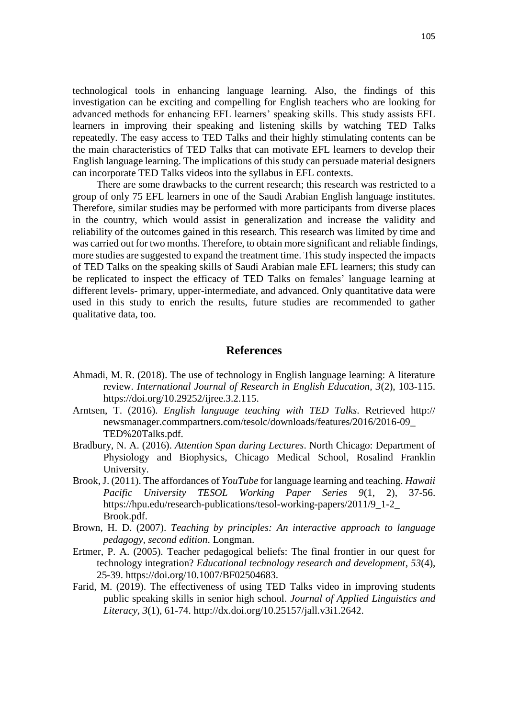technological tools in enhancing language learning. Also, the findings of this investigation can be exciting and compelling for English teachers who are looking for advanced methods for enhancing EFL learners' speaking skills. This study assists EFL learners in improving their speaking and listening skills by watching TED Talks repeatedly. The easy access to TED Talks and their highly stimulating contents can be the main characteristics of TED Talks that can motivate EFL learners to develop their English language learning. The implications of this study can persuade material designers can incorporate TED Talks videos into the syllabus in EFL contexts.

There are some drawbacks to the current research; this research was restricted to a group of only 75 EFL learners in one of the Saudi Arabian English language institutes. Therefore, similar studies may be performed with more participants from diverse places in the country, which would assist in generalization and increase the validity and reliability of the outcomes gained in this research. This research was limited by time and was carried out for two months. Therefore, to obtain more significant and reliable findings, more studies are suggested to expand the treatment time. This study inspected the impacts of TED Talks on the speaking skills of Saudi Arabian male EFL learners; this study can be replicated to inspect the efficacy of TED Talks on females' language learning at different levels- primary, upper-intermediate, and advanced. Only quantitative data were used in this study to enrich the results, future studies are recommended to gather qualitative data, too.

### **References**

- Ahmadi, M. R. (2018). The use of technology in English language learning: A literature review. *International Journal of Research in English Education, 3*(2), 103-115. https://doi.org/10.29252/ijree.3.2.115.
- Arntsen, T. (2016). *English language teaching with TED Talks*. Retrieved http:// newsmanager.commpartners.com/tesolc/downloads/features/2016/2016-09\_ TED%20Talks.pdf.
- Bradbury, N. A. (2016). *Attention Span during Lectures*. North Chicago: Department of Physiology and Biophysics, Chicago Medical School, Rosalind Franklin University.
- Brook, J. (2011). The affordances of *YouTube* for language learning and teaching. *Hawaii Pacific University TESOL Working Paper Series 9*(1, 2), 37-56. https://hpu.edu/research-publications/tesol-working-papers/2011/9\_1-2\_ Brook.pdf.
- Brown, H. D. (2007). *Teaching by principles: An interactive approach to language pedagogy, second edition*. Longman.
- Ertmer, P. A. (2005). Teacher pedagogical beliefs: The final frontier in our quest for technology integration? *Educational technology research and development*, *53*(4), 25-39. https://doi.org/10.1007/BF02504683.
- Farid, M. (2019). The effectiveness of using TED Talks video in improving students public speaking skills in senior high school. *Journal of Applied Linguistics and Literacy, 3*(1), 61-74. [http://dx.doi.org/10.25157/jall.v3i1.2642.](http://dx.doi.org/10.25157/jall.v3i1.2642)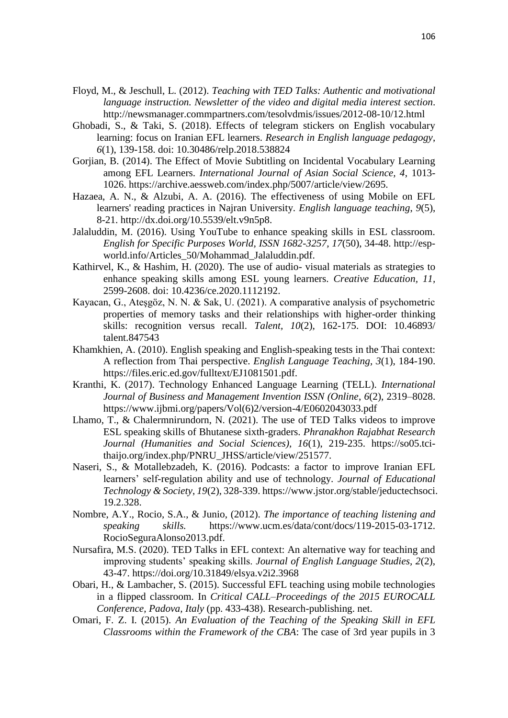- Floyd, M., & Jeschull, L. (2012). *Teaching with TED Talks: Authentic and motivational language instruction. Newsletter of the video and digital media interest section*. http://newsmanager.commpartners.com/tesolvdmis/issues/2012-08-10/12.html
- Ghobadi, S., & Taki, S. (2018). Effects of telegram stickers on English vocabulary learning: focus on Iranian EFL learners. *Research in English language pedagogy*, *6*(1), 139-158. doi: 10.30486/relp.2018.538824
- Gorjian, B. (2014). The Effect of Movie Subtitling on Incidental Vocabulary Learning among EFL Learners. *International Journal of Asian Social Science, 4*, 1013- 1026. https://archive.aessweb.com/index.php/5007/article/view/2695.
- Hazaea, A. N., & Alzubi, A. A. (2016). The effectiveness of using Mobile on EFL learners' reading practices in Najran University. *English language teaching*, *9*(5), 8-21. http://dx.doi.org/10.5539/elt.v9n5p8.
- Jalaluddin, M. (2016). Using YouTube to enhance speaking skills in ESL classroom. *English for Specific Purposes World, ISSN 1682-3257, 17*(50), 34-48. http://espworld.info/Articles\_50/Mohammad\_Jalaluddin.pdf.
- Kathirvel, K., & Hashim, H. (2020). The use of audio- visual materials as strategies to enhance speaking skills among ESL young learners. *Creative Education, 11,* 2599-2608. doi: [10.4236/ce.2020.1112192.](https://doi.org/10.4236/ce.2020.1112192)
- Kayacan, G., Ateşgöz, N. N. & Sak, U. (2021). A comparative analysis of psychometric properties of memory tasks and their relationships with higher-order thinking skills: recognition versus recall. *Talent, 10*(2), 162-175. DOI: 10.46893/ talent.847543
- Khamkhien, A. (2010). English speaking and English-speaking tests in the Thai context: A reflection from Thai perspective. *English Language Teaching, 3*(1), 184-190. https://files.eric.ed.gov/fulltext/EJ1081501.pdf.
- Kranthi, K. (2017). Technology Enhanced Language Learning (TELL). *International Journal of Business and Management Invention ISSN (Online*, *6*(2), 2319–8028. https://www.ijbmi.org/papers/Vol(6)2/version-4/E0602043033.pdf
- Lhamo, T., & Chalermnirundorn, N. (2021). The use of TED Talks videos to improve ESL speaking skills of Bhutanese sixth-graders. *Phranakhon Rajabhat Research Journal (Humanities and Social Sciences), 16*(1), 219-235. https://so05.tcithaijo.org/index.php/PNRU\_JHSS/article/view/251577.
- Naseri, S., & Motallebzadeh, K. (2016). Podcasts: a factor to improve Iranian EFL learners' self-regulation ability and use of technology. *Journal of Educational Technology & Society*, *19*(2), 328-339. https://www.jstor.org/stable/jeductechsoci. 19.2.328.
- Nombre, A.Y., Rocio, S.A., & Junio, (2012). *The importance of teaching listening and speaking skills.* [https://www.ucm.es/data/cont/docs/119-2015-03-1](https://www.ucm.es/data/cont/docs/119-2015-03-)712. RocioSeguraAlonso2013.pdf.
- Nursafira, M.S. (2020). TED Talks in EFL context: An alternative way for teaching and improving students' speaking skills. *Journal of English Language Studies, 2*(2), 43-47. https://doi.org/10.31849/elsya.v2i2.3968
- Obari, H., & Lambacher, S. (2015). Successful EFL teaching using mobile technologies in a flipped classroom. In *Critical CALL–Proceedings of the 2015 EUROCALL Conference, Padova, Italy* (pp. 433-438). Research-publishing. net.
- Omari, F. Z. I. (2015). *An Evaluation of the Teaching of the Speaking Skill in EFL Classrooms within the Framework of the CBA*: The case of 3rd year pupils in 3